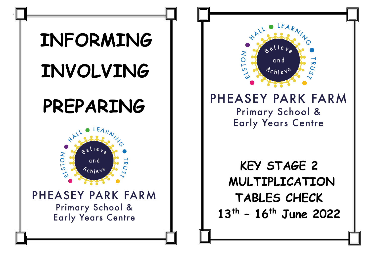



## PHEASEY PARK FARM

Primary School & **Early Years Centre** 

**KEY STAGE 2 MULTIPLICATION TABLES CHECK 13th – 16th June 2022**